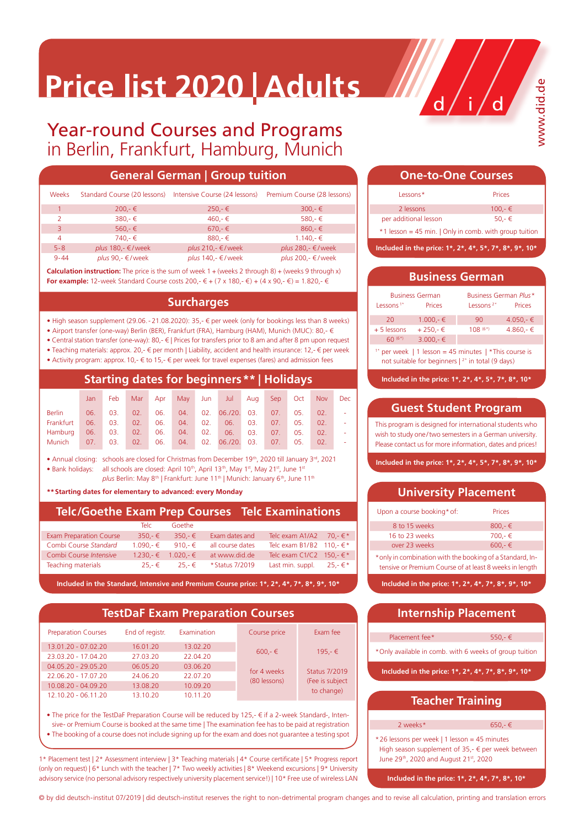# **Price list 2020 Adults**

### Year-round Courses and Programs in Berlin, Frankfurt, Hamburg, Munich

#### **General German | Group tuition**

| <b>Weeks</b>  | Standard Course (20 lessons) | Intensive Course (24 lessons) | Premium Course (28 lessons) |
|---------------|------------------------------|-------------------------------|-----------------------------|
|               | $200,-$ €                    | $250 - €$                     | $300,-$ €                   |
| $\mathcal{P}$ | $380,-$ €                    | 460,-€                        | 580,-€                      |
| 3             | $560 - \in$                  | $670 - \epsilon$              | $860 - \epsilon$            |
| 4             | 740.- €                      | $880 - \epsilon$              | $1.140 - \epsilon$          |
| $5 - 8$       | plus 180,- €/week            | plus 210,- €/week             | plus 280,- $\epsilon$ /week |
| $9 - 44$      | plus 90,- €/week             | plus 140,- €/week             | plus 200,- €/week           |

**Calculation instruction:** The price is the sum of week 1 + (weeks 2 through 8) + (weeks 9 through x) **For example:** 12-week Standard Course costs 200,- € + (7 x 180,- €) + (4 x 90,- €) = 1.820,- €

#### **Surcharges**

- High season supplement (29.06. 21.08.2020): 35,- € per week (only for bookings less than 8 weeks)
- Airport transfer (one-way) Berlin (BER), Frankfurt (FRA), Hamburg (HAM), Munich (MUC): 80,- €
- Central station transfer (one-way): 80,- € | Prices for transfers prior to 8 am and after 8 pm upon request
- Teaching materials: approx. 20,-  $\epsilon$  per month | Liability, accident and health insurance: 12,-  $\epsilon$  per week
- Activity program: approx. 10,-  $\epsilon$  to 15,-  $\epsilon$  per week for travel expenses (fares) and admission fees

### **Starting dates for beginners\*\* | Holidays**

|               | Jan- | Feb | Mar | Apr | May 1 |     | Jun Jul Aug |     | Sep | Oct | Nov | Dec |
|---------------|------|-----|-----|-----|-------|-----|-------------|-----|-----|-----|-----|-----|
| <b>Berlin</b> | 06.  | 03. | 02. | 06. | 04.   | 02. | 06./20.     | 03. | 07. | 05. | 02. |     |
| Frankfurt     | 06.  | 03. | 02. | 06. | 04.   | 02. | 06.         | 03. | 07. | 05. | 02. |     |
| Hamburg       | 06.  | 03. | 02. | 06. | 04.   | 02. | 06.         | 03. | 07. | 05. | 02. |     |
| Munich        | 07.  | 03. | 02. | 06. | 04.   | 02. | 06./20.     | 03. | 07. | 05. | 02. | ٠   |
|               |      |     |     |     |       |     |             |     |     |     |     |     |

• Annual closing: schools are closed for Christmas from December 19<sup>th</sup>, 2020 till January 3<sup>rd</sup>, 2021 • Bank holidays: all schools are closed: April 10<sup>th</sup>, April 13<sup>th</sup>, May 1<sup>st</sup>, May 21<sup>st</sup>, June 1<sup>st</sup> *plus Berlin: May 8<sup>th</sup>* | Frankfurt: June 11<sup>th</sup> | Munich: January 6<sup>th</sup>, June 11<sup>th</sup>

**\*\*Starting dates for elementary to advanced: every Monday**

#### **Telc/Goethe Exam Prep Courses Telc Examinations**

|                         | Telc        | Goethe                       |                  |                                   |          |
|-------------------------|-------------|------------------------------|------------------|-----------------------------------|----------|
| Exam Preparation Course | $350 - 6$   | $350 - €$                    | Exam dates and   | Telc exam A1/A2 70,- $\epsilon^*$ |          |
| Combi Course Standard   | $1.090 - €$ | 910.-€                       | all course dates | Telc exam B1/B2 110.- $\in$ *     |          |
| Combi Course Intensive  |             | $1.230 - \epsilon$ 1.020.- € | at www.did.de    | Telc exam C1/C2 150,- € *         |          |
| Teaching materials      | 25.-€       | 25.-€                        | * Status 7/2019  | Last min. suppl.                  | $25.-€*$ |

**Included in the Standard, Intensive and Premium Course price: 1\*, 2\*, 4\*, 7\*, 8\*, 9\*, 10\***

#### **TestDaF Exam Preparation Courses**

| <b>Preparation Courses</b> | End of registr. | Examination | Course price     | Exam fee             |
|----------------------------|-----------------|-------------|------------------|----------------------|
| 13.01.20 - 07.02.20        | 16.01.20        | 13.02.20    |                  |                      |
| 23.03.20 - 17.04.20        | 27.03.20        | 22.04.20    | $600 - \epsilon$ | 195,-€               |
| $040520 - 290520$          | 06.05.20        | 03.06.20    | for 4 weeks      |                      |
| 22 06 20 - 17 07 20        | 24.06.20        | 22.07.20    | (80 lessons)     | <b>Status 7/2019</b> |
| 10.08.20 - 04.09.20        | 13.08.20        | 10.09.20    |                  | (Fee is subject      |
| 12.10.20 - 06.11.20        | 13.10.20        | 10.11.20    |                  | to change)           |

• The price for the TestDaF Preparation Course will be reduced by 125,- € if a 2-week Standard-, Intensive- or Premium Course is booked at the same time | The examination fee has to be paid at registration • The booking of a course does not include signing up for the exam and does not guarantee a testing spot

1\* Placement test | 2\* Assessment interview | 3\* Teaching materials | 4\* Course certificate | 5\* Progress report (only on request)  $6*$  Lunch with the teacher  $7*$  Two weekly activities  $8*$  Weekend excursions  $9*$  University advisory service (no personal advisory respectively university placement service!) | 10\* Free use of wireless LAN **One-to-One Courses**

 $d/i/d$ 

| Lessons*                                                       | <b>Prices</b> |  |  |  |  |
|----------------------------------------------------------------|---------------|--|--|--|--|
| 2 lessons                                                      | $100.-€$      |  |  |  |  |
| per additional lesson                                          | $50.-€$       |  |  |  |  |
| $*1$ lesson = 45 min. $\vert$ Only in comb. with group tuition |               |  |  |  |  |

**Included in the price: 1\*, 2\*, 4\*, 5\*, 7\*, 8\*, 9\*, 10\***

#### **Business German**

|                                                                  | <b>Business German</b> | Business German Plus* |               |  |  |  |
|------------------------------------------------------------------|------------------------|-----------------------|---------------|--|--|--|
| Lessons <sup>1*</sup>                                            | <b>Prices</b>          | Lessons <sup>2*</sup> | <b>Prices</b> |  |  |  |
| 20                                                               | $1.000,-$ €            | 90                    | 4.050,-€      |  |  |  |
| $+5$ lessons                                                     | +250,- €               | $108(6*)$             | 4.860,-€      |  |  |  |
| $60^{(6*)}$                                                      | $3.000,-$ €            |                       |               |  |  |  |
| <sup>1*</sup> per week   1 lesson = 45 minutes   *This course is |                        |                       |               |  |  |  |

not suitable for beginners | 2\* in total (9 days)

**Included in the price: 1\*, 2\*, 4\*, 5\*, 7\*, 8\*, 10\***

#### **Guest Student Program**

This program is designed for international students who wish to study one / two semesters in a German university. Please contact us for more information, dates and prices!

**Included in the price: 1\*, 2\*, 4\*, 5\*, 7\*, 8\*, 9\*, 10\***

#### **University Placement**

| Upon a course booking* of: | Prices           |
|----------------------------|------------------|
| 8 to 15 weeks              | 800.- $\in$      |
| 16 to 23 weeks             | 700.-€           |
| over 23 weeks              | $600 - \epsilon$ |
|                            |                  |

\*only in combination with the booking of a Standard, Intensive or Premium Course of at least 8 weeks in length

**Included in the price: 1\*, 2\*, 4\*, 7\*, 8\*, 9\*, 10\***

#### **Internship Placement**

| Placement fee*<br>*Only available in comb. with 6 weeks of group tuition | $550.-€$ |
|--------------------------------------------------------------------------|----------|
| Included in the price: 1*, 2*, 4*, 7*, 8*, 9*, 10*                       |          |
| <b>Teacher Training</b>                                                  |          |

2 weeks\*

\*26 lessons per week | 1 lesson = 45 minutes High season supplement of 35,- $\epsilon$  per week between June 29th, 2020 and August 21st, 2020

650,- €

**Included in the price: 1\*, 2\*, 4\*, 7\*, 8\*, 10\***

© by did deutsch-institut 07/2019 | did deutsch-institut reserves the right to non-detrimental program changes and to revise all calculation, printing and translation errors